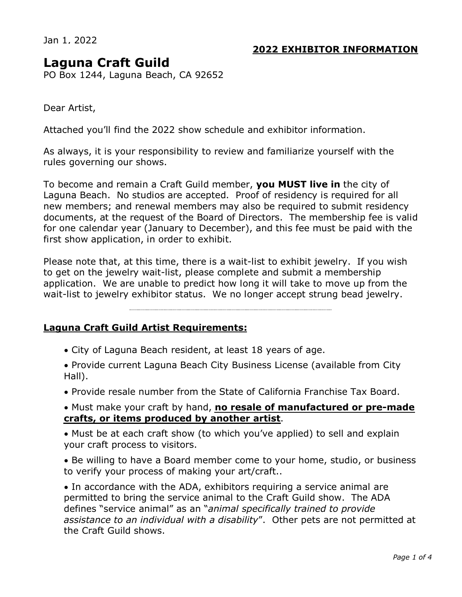Jan 1, 2022

# **2022 EXHIBITOR INFORMATION**

# **Laguna Craft Guild**

PO Box 1244, Laguna Beach, CA 92652

Dear Artist,

Attached you'll find the 2022 show schedule and exhibitor information.

As always, it is your responsibility to review and familiarize yourself with the rules governing our shows.

To become and remain a Craft Guild member, **you MUST live in** the city of Laguna Beach. No studios are accepted. Proof of residency is required for all new members; and renewal members may also be required to submit residency documents, at the request of the Board of Directors. The membership fee is valid for one calendar year (January to December), and this fee must be paid with the first show application, in order to exhibit.

Please note that, at this time, there is a wait-list to exhibit jewelry. If you wish to get on the jewelry wait-list, please complete and submit a membership application. We are unable to predict how long it will take to move up from the wait-list to jewelry exhibitor status. We no longer accept strung bead jewelry.

## **Laguna Craft Guild Artist Requirements:**

- · City of Laguna Beach resident, at least 18 years of age.
- · Provide current Laguna Beach City Business License (available from City Hall).
- · Provide resale number from the State of California Franchise Tax Board.

· Must make your craft by hand, **no resale of manufactured or pre-made crafts, or items produced by another artist**.

· Must be at each craft show (to which you've applied) to sell and explain your craft process to visitors.

· Be willing to have a Board member come to your home, studio, or business to verify your process of making your art/craft..

· In accordance with the ADA, exhibitors requiring a service animal are permitted to bring the service animal to the Craft Guild show. The ADA defines "service animal" as an "*animal specifically trained to provide assistance to an individual with a disability*". Other pets are not permitted at the Craft Guild shows.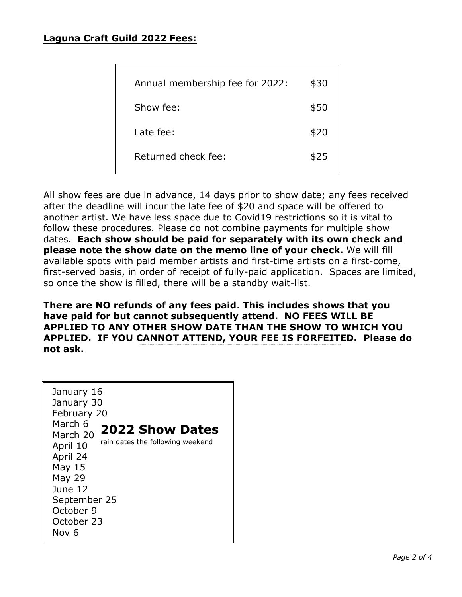# **Laguna Craft Guild 2022 Fees:**

| Annual membership fee for 2022: | \$30 |
|---------------------------------|------|
|                                 |      |
| Show fee:                       | \$50 |
|                                 |      |
| Late fee:                       | \$20 |
|                                 |      |
| Returned check fee:             | \$25 |
|                                 |      |
|                                 |      |

All show fees are due in advance, 14 days prior to show date; any fees received after the deadline will incur the late fee of \$20 and space will be offered to another artist. We have less space due to Covid19 restrictions so it is vital to follow these procedures. Please do not combine payments for multiple show dates. **Each show should be paid for separately with its own check and please note the show date on the memo line of your check.** We will fill available spots with paid member artists and first-time artists on a first-come, first-served basis, in order of receipt of fully-paid application. Spaces are limited, so once the show is filled, there will be a standby wait-list.

**There are NO refunds of any fees paid**. **This includes shows that you have paid for but cannot subsequently attend. NO FEES WILL BE APPLIED TO ANY OTHER SHOW DATE THAN THE SHOW TO WHICH YOU APPLIED. IF YOU CANNOT ATTEND, YOUR FEE IS FORFEITED. Please do not ask.** 

| January 16<br>January 30<br>February 20<br>March 6<br><b>2022 Show Dates</b><br>March 20<br>rain dates the following weekend<br>April 10<br>April 24<br>May 15<br>May 29<br>June 12<br>September 25<br>October 9<br>October 23<br>Nov 6 |
|-----------------------------------------------------------------------------------------------------------------------------------------------------------------------------------------------------------------------------------------|
|-----------------------------------------------------------------------------------------------------------------------------------------------------------------------------------------------------------------------------------------|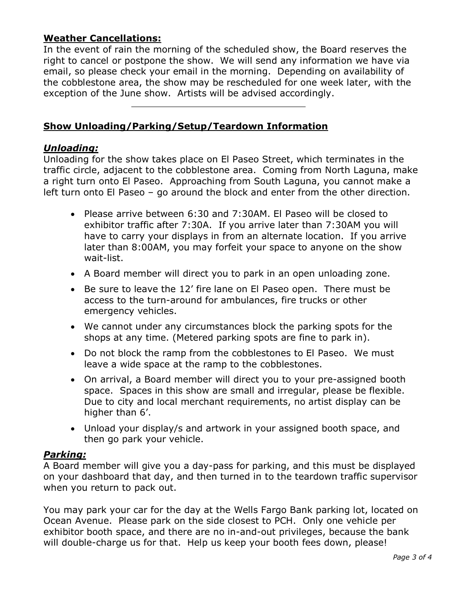# **Weather Cancellations:**

In the event of rain the morning of the scheduled show, the Board reserves the right to cancel or postpone the show. We will send any information we have via email, so please check your email in the morning. Depending on availability of the cobblestone area, the show may be rescheduled for one week later, with the exception of the June show. Artists will be advised accordingly.

# **Show Unloading/Parking/Setup/Teardown Information**

#### *Unloading:*

Unloading for the show takes place on El Paseo Street, which terminates in the traffic circle, adjacent to the cobblestone area. Coming from North Laguna, make a right turn onto El Paseo. Approaching from South Laguna, you cannot make a left turn onto El Paseo – go around the block and enter from the other direction.

- · Please arrive between 6:30 and 7:30AM. El Paseo will be closed to exhibitor traffic after 7:30A. If you arrive later than 7:30AM you will have to carry your displays in from an alternate location. If you arrive later than 8:00AM, you may forfeit your space to anyone on the show wait-list.
- · A Board member will direct you to park in an open unloading zone.
- · Be sure to leave the 12' fire lane on El Paseo open. There must be access to the turn-around for ambulances, fire trucks or other emergency vehicles.
- · We cannot under any circumstances block the parking spots for the shops at any time. (Metered parking spots are fine to park in).
- · Do not block the ramp from the cobblestones to El Paseo. We must leave a wide space at the ramp to the cobblestones.
- · On arrival, a Board member will direct you to your pre-assigned booth space. Spaces in this show are small and irregular, please be flexible. Due to city and local merchant requirements, no artist display can be higher than 6'.
- · Unload your display/s and artwork in your assigned booth space, and then go park your vehicle.

## *Parking:*

A Board member will give you a day-pass for parking, and this must be displayed on your dashboard that day, and then turned in to the teardown traffic supervisor when you return to pack out.

You may park your car for the day at the Wells Fargo Bank parking lot, located on Ocean Avenue. Please park on the side closest to PCH. Only one vehicle per exhibitor booth space, and there are no in-and-out privileges, because the bank will double-charge us for that. Help us keep your booth fees down, please!